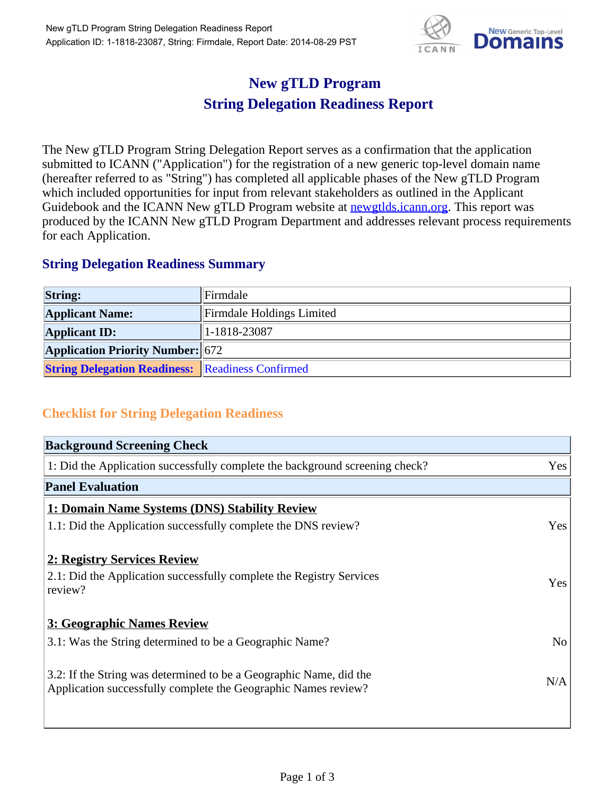

## **New gTLD Program String Delegation Readiness Report**

The New gTLD Program String Delegation Report serves as a confirmation that the application submitted to ICANN ("Application") for the registration of a new generic top-level domain name (hereafter referred to as "String") has completed all applicable phases of the New gTLD Program which included opportunities for input from relevant stakeholders as outlined in the Applicant Guidebook and the ICANN New gTLD Program website at **newgtlds.icann.org**. This report was produced by the ICANN New gTLD Program Department and addresses relevant process requirements for each Application.

## **String Delegation Readiness Summary**

| <b>String:</b>                                          | Firmdale                  |
|---------------------------------------------------------|---------------------------|
| <b>Applicant Name:</b>                                  | Firmdale Holdings Limited |
| <b>Applicant ID:</b>                                    | $ 1-1818-23087$           |
| <b>Application Priority Number: 672</b>                 |                           |
| <b>String Delegation Readiness:</b> Readiness Confirmed |                           |

## **Checklist for String Delegation Readiness**

| <b>Background Screening Check</b>                                               |                |  |
|---------------------------------------------------------------------------------|----------------|--|
| 1: Did the Application successfully complete the background screening check?    | Yes            |  |
| <b>Panel Evaluation</b>                                                         |                |  |
| 1: Domain Name Systems (DNS) Stability Review                                   |                |  |
| 1.1: Did the Application successfully complete the DNS review?                  | Yes            |  |
|                                                                                 |                |  |
| 2: Registry Services Review                                                     |                |  |
| 2.1: Did the Application successfully complete the Registry Services<br>review? | Yes            |  |
|                                                                                 |                |  |
| 3: Geographic Names Review                                                      |                |  |
| 3.1: Was the String determined to be a Geographic Name?                         | N <sub>o</sub> |  |
| 3.2: If the String was determined to be a Geographic Name, did the              |                |  |
| Application successfully complete the Geographic Names review?                  | N/A            |  |
|                                                                                 |                |  |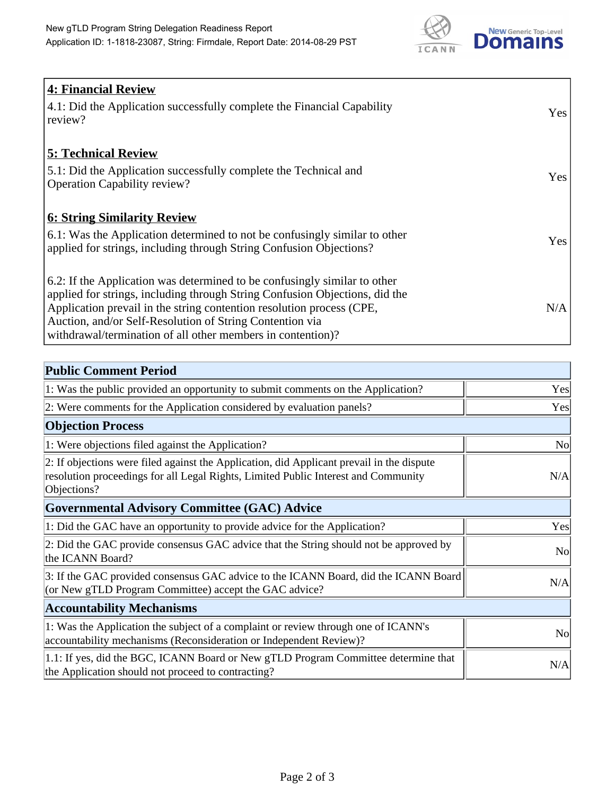

| 4: Financial Review                                                                |            |
|------------------------------------------------------------------------------------|------------|
| $\vert$ 4.1: Did the Application successfully complete the Financial Capability    | Yes        |
| review?                                                                            |            |
| <b>5: Technical Review</b>                                                         |            |
| 5.1: Did the Application successfully complete the Technical and                   | <b>Yes</b> |
| <b>Operation Capability review?</b>                                                |            |
|                                                                                    |            |
| <b>6: String Similarity Review</b>                                                 |            |
| $\vert$ 6.1: Was the Application determined to not be confusingly similar to other | Yes        |
| applied for strings, including through String Confusion Objections?                |            |
| 6.2: If the Application was determined to be confusingly similar to other          |            |
| applied for strings, including through String Confusion Objections, did the        |            |
| Application prevail in the string contention resolution process (CPE,              | N/A        |
| Auction, and/or Self-Resolution of String Contention via                           |            |
| withdrawal/termination of all other members in contention)?                        |            |

| <b>Public Comment Period</b>                                                                                                                                                                   |                |
|------------------------------------------------------------------------------------------------------------------------------------------------------------------------------------------------|----------------|
| 1: Was the public provided an opportunity to submit comments on the Application?                                                                                                               | Yes            |
| 2: Were comments for the Application considered by evaluation panels?                                                                                                                          | Yes            |
| <b>Objection Process</b>                                                                                                                                                                       |                |
| 1: Were objections filed against the Application?                                                                                                                                              | N <sub>0</sub> |
| 2: If objections were filed against the Application, did Applicant prevail in the dispute<br>resolution proceedings for all Legal Rights, Limited Public Interest and Community<br>Objections? | N/A            |
| Governmental Advisory Committee (GAC) Advice                                                                                                                                                   |                |
| 1: Did the GAC have an opportunity to provide advice for the Application?                                                                                                                      | Yes            |
| 2: Did the GAC provide consensus GAC advice that the String should not be approved by<br>the ICANN Board?                                                                                      | N <sub>o</sub> |
| 3: If the GAC provided consensus GAC advice to the ICANN Board, did the ICANN Board<br>(or New gTLD Program Committee) accept the GAC advice?                                                  | N/A            |
| <b>Accountability Mechanisms</b>                                                                                                                                                               |                |
| 1: Was the Application the subject of a complaint or review through one of ICANN's<br>accountability mechanisms (Reconsideration or Independent Review)?                                       | N <sub>0</sub> |
| 1.1: If yes, did the BGC, ICANN Board or New gTLD Program Committee determine that<br>the Application should not proceed to contracting?                                                       | N/A            |